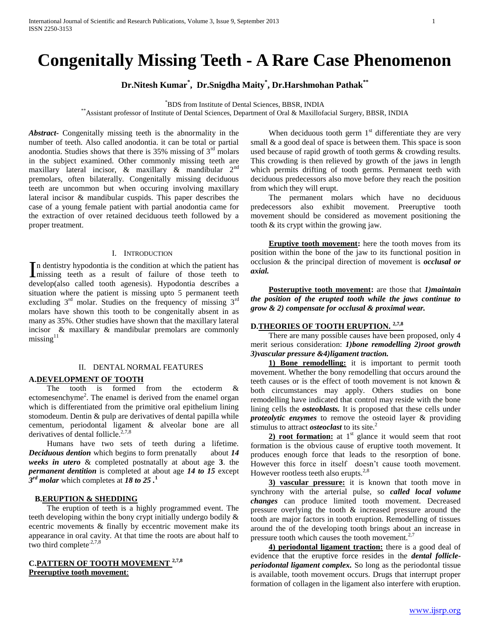# **Congenitally Missing Teeth - A Rare Case Phenomenon**

**Dr.Nitesh Kumar\* , Dr.Snigdha Maity\* , Dr.Harshmohan Pathak\*\***

\*BDS from Institute of Dental Sciences, BBSR, INDIA

\*\*Assistant professor of Institute of Dental Sciences, Department of Oral & Maxillofacial Surgery, BBSR, INDIA

*Abstract***-** Congenitally missing teeth is the abnormality in the number of teeth. Also called anodontia. it can be total or partial anodontia. Studies shows that there is  $35\%$  missing of  $3<sup>rd</sup>$  molars in the subject examined. Other commonly missing teeth are maxillary lateral incisor, & maxillary & mandibular 2nd premolars, often bilaterally. Congenitally missing deciduous teeth are uncommon but when occuring involving maxillary lateral incisor & mandibular cuspids. This paper describes the case of a young female patient with partial anodontia came for the extraction of over retained deciduous teeth followed by a proper treatment.

### I. INTRODUCTION

n dentistry hypodontia is the condition at which the patient has In dentistry hypodontia is the condition at which the patient has<br>
missing teeth as a result of failure of those teeth to develop(also called tooth agenesis). Hypodontia describes a situation where the patient is missing upto 5 permanent teeth excluding  $3<sup>rd</sup>$  molar. Studies on the frequency of missing  $3<sup>rd</sup>$ molars have shown this tooth to be congenitally absent in as many as 35%. Other studies have shown that the maxillary lateral incisor & maxillary & mandibular premolars are commonly  $missing<sup>11</sup>$ 

### II. DENTAL NORMAL FEATURES

### **A.DEVELOPMENT OF TOOTH**

 The tooth is formed from the ectoderm & ectomesenchyme<sup>2</sup>. The enamel is derived from the enamel organ which is differentiated from the primitive oral epithelium lining stomodeum. Dentin & pulp are derivatives of dental papilla while cementum, periodontal ligament & alveolar bone are all derivatives of dental follicle. $2,7,8$ 

 Humans have two sets of teeth during a lifetime. *Deciduous dention* which begins to form prenatally about *14 weeks in utero* & completed postnatally at about age **3**. the *permanent dentition* is completed at about age *14 to 15* except *3 rd molar* which completes at *18 to 25 .***<sup>1</sup>**

### **B.ERUPTION & SHEDDING**

 The eruption of teeth is a highly programmed event. The teeth developing within the bony crypt initially undergo bodily & ecentric movements & finally by eccentric movement make its appearance in oral cavity. At that time the roots are about half to two third complete. $2,7,8$ 

# **C.PATTERN OF TOOTH MOVEMENT 2,7,8 Preeruptive tooth movement**:

When deciduous tooth germ  $1<sup>st</sup>$  differentiate they are very small & a good deal of space is between them. This space is soon used because of rapid growth of tooth germs & crowding results. This crowding is then relieved by growth of the jaws in length which permits drifting of tooth germs. Permanent teeth with deciduous predecessors also move before they reach the position from which they will erupt.

 The permanent molars which have no deciduous predecessors also exhibit movement. Preeruptive tooth movement should be considered as movement positioning the tooth & its crypt within the growing jaw.

 **Eruptive tooth movement:** here the tooth moves from its position within the bone of the jaw to its functional position in occlusion & the principal direction of movement is *occlusal or axial.*

 **Posteruptive tooth movement:** are those that *1)maintain the position of the erupted tooth while the jaws continue to grow & 2) compensate for occlusal & proximal wear.*

# **D.THEORIES OF TOOTH ERUPTION. 2,7,8**

 There are many possible causes have been proposed, only 4 merit serious consideration: *1)bone remodelling 2)root growth 3)vascular pressure &4)ligament traction.*

 **1) Bone remodelling:** it is important to permit tooth movement. Whether the bony remodelling that occurs around the teeth causes or is the effect of tooth movement is not known & both circumstances may apply. Others studies on bone remodelling have indicated that control may reside with the bone lining cells the *osteoblasts.* It is proposed that these cells under *proteolytic enzymes* to remove the osteoid layer & providing stimulus to attract *osteoclast* to its site.<sup>2</sup>

**2) root formation:** at  $1<sup>st</sup>$  glance it would seem that root formation is the obvious cause of eruptive tooth movement. It produces enough force that leads to the resorption of bone. However this force in itself doesn't cause tooth movement. However rootless teeth also erupts. $2.8$ 

 **3) vascular pressure:** it is known that tooth move in synchrony with the arterial pulse, so *called local volume changes* can produce limited tooth movement. Decreased pressure overlying the tooth & increased pressure around the tooth are major factors in tooth eruption. Remodelling of tissues around the of the developing tooth brings about an increase in pressure tooth which causes the tooth movement. $2,7$ 

 **4) periodontal ligament traction:** there is a good deal of evidence that the eruptive force resides in the *dental follicleperiodontal ligament complex.* So long as the periodontal tissue is available, tooth movement occurs. Drugs that interrupt proper formation of collagen in the ligament also interfere with eruption.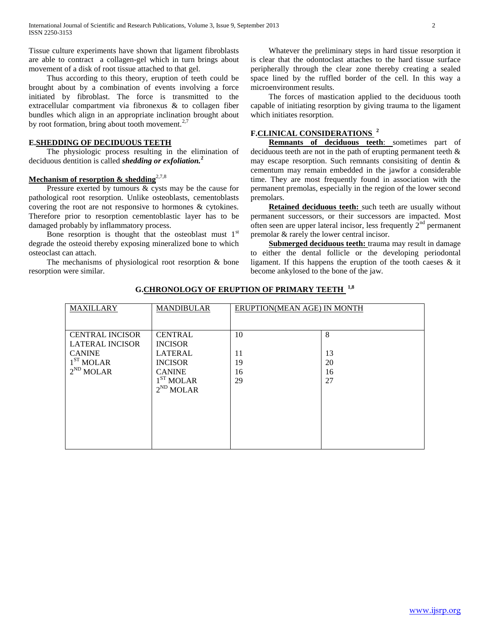Tissue culture experiments have shown that ligament fibroblasts are able to contract a collagen-gel which in turn brings about movement of a disk of root tissue attached to that gel.

 Thus according to this theory, eruption of teeth could be brought about by a combination of events involving a force initiated by fibroblast. The force is transmitted to the extracellular compartment via fibronexus & to collagen fiber bundles which align in an appropriate inclination brought about by root formation, bring about tooth movement.<sup>2,7</sup>

### **E.SHEDDING OF DECIDUOUS TEETH**

 The physiologic process resulting in the elimination of deciduous dentition is called *shedding or exfoliation.***<sup>2</sup>**

# **Mechanism of resorption & shedding**2,7,8

 Pressure exerted by tumours & cysts may be the cause for pathological root resorption. Unlike osteoblasts, cementoblasts covering the root are not responsive to hormones & cytokines. Therefore prior to resorption cementoblastic layer has to be damaged probably by inflammatory process.

Bone resorption is thought that the osteoblast must  $1<sup>st</sup>$ degrade the osteoid thereby exposing mineralized bone to which osteoclast can attach.

 The mechanisms of physiological root resorption & bone resorption were similar.

 Whatever the preliminary steps in hard tissue resorption it is clear that the odontoclast attaches to the hard tissue surface peripherally through the clear zone thereby creating a sealed space lined by the ruffled border of the cell. In this way a microenvironment results.

 The forces of mastication applied to the deciduous tooth capable of initiating resorption by giving trauma to the ligament which initiates resorption.

# **F.CLINICAL CONSIDERATIONS <sup>2</sup>**

 **Remnants of deciduous teeth**: sometimes part of deciduous teeth are not in the path of erupting permanent teeth & may escape resorption. Such remnants consisiting of dentin & cementum may remain embedded in the jawfor a considerable time. They are most frequently found in association with the permanent premolas, especially in the region of the lower second premolars.

**Retained deciduous teeth:** such teeth are usually without permanent successors, or their successors are impacted. Most often seen are upper lateral incisor, less frequently  $2<sup>nd</sup>$  permanent premolar & rarely the lower central incisor.

 **Submerged deciduous teeth:** trauma may result in damage to either the dental follicle or the developing periodontal ligament. If this happens the eruption of the tooth caeses & it become ankylosed to the bone of the jaw.

| <b>MAXILLARY</b>                                                                                             | <b>MANDIBULAR</b>                                                                                                                | <b>ERUPTION(MEAN AGE) IN MONTH</b> |                           |
|--------------------------------------------------------------------------------------------------------------|----------------------------------------------------------------------------------------------------------------------------------|------------------------------------|---------------------------|
| <b>CENTRAL INCISOR</b><br><b>LATERAL INCISOR</b><br><b>CANINE</b><br>1 <sup>ST</sup> MOLAR<br>$2^{ND}$ MOLAR | <b>CENTRAL</b><br><b>INCISOR</b><br><b>LATERAL</b><br><b>INCISOR</b><br><b>CANINE</b><br>1 <sup>ST</sup> MOLAR<br>$2^{ND}$ MOLAR | 10<br>11<br>19<br>16<br>29         | 8<br>13<br>20<br>16<br>27 |

# **G.CHRONOLOGY OF ERUPTION OF PRIMARY TEETH 1,8**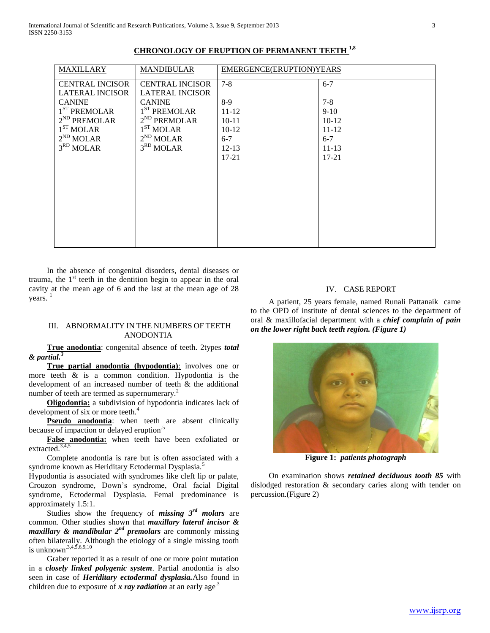| <b>MAXILLARY</b>                                 | <b>MANDIBULAR</b>                                | EMERGENCE(ERUPTION)YEARS |           |
|--------------------------------------------------|--------------------------------------------------|--------------------------|-----------|
| <b>CENTRAL INCISOR</b><br><b>LATERAL INCISOR</b> | <b>CENTRAL INCISOR</b><br><b>LATERAL INCISOR</b> | $7 - 8$                  | $6 - 7$   |
| <b>CANINE</b>                                    | <b>CANINE</b>                                    | $8-9$                    | $7 - 8$   |
| $1ST$ PREMOLAR                                   | $1ST$ PREMOLAR                                   | $11 - 12$                | $9-10$    |
| $2^{ND}$ PREMOLAR                                | $2^{ND}$ PREMOLAR                                | $10 - 11$                | $10-12$   |
| 1 <sup>ST</sup> MOLAR                            | 1 <sup>ST</sup> MOLAR                            | $10-12$                  | $11 - 12$ |
| $2^{ND}$ MOLAR                                   | $2^{ND}$ MOLAR                                   | $6 - 7$                  | $6 - 7$   |
| 3 <sup>RD</sup> MOLAR                            | 3 <sup>RD</sup> MOLAR                            | $12 - 13$                | $11 - 13$ |
|                                                  |                                                  | $17 - 21$                | $17 - 21$ |
|                                                  |                                                  |                          |           |
|                                                  |                                                  |                          |           |
|                                                  |                                                  |                          |           |
|                                                  |                                                  |                          |           |
|                                                  |                                                  |                          |           |
|                                                  |                                                  |                          |           |
|                                                  |                                                  |                          |           |
|                                                  |                                                  |                          |           |
|                                                  |                                                  |                          |           |

# **CHRONOLOGY OF ERUPTION OF PERMANENT TEETH 1,8**

 In the absence of congenital disorders, dental diseases or trauma, the  $1<sup>st</sup>$  teeth in the dentition begin to appear in the oral cavity at the mean age of 6 and the last at the mean age of 28 years.

# III. ABNORMALITY IN THE NUMBERS OF TEETH ANODONTIA

 **True anodontia**: congenital absence of teeth. 2types *total & partial.<sup>3</sup>*

 **True partial anodontia (hypodontia)**: involves one or more teeth & is a common condition. Hypodontia is the development of an increased number of teeth & the additional number of teeth are termed as supernumerary.<sup>2</sup>

 **Oligodontia:** a subdivision of hypodontia indicates lack of development of six or more teeth.<sup>4</sup>

**Pseudo anodontia**: when teeth are absent clinically because of impaction or delayed eruption<sup>5</sup>

 **False anodontia:** when teeth have been exfoliated or extracted. $3,4$ 

 Complete anodontia is rare but is often associated with a syndrome known as Heriditary Ectodermal Dysplasia.<sup>5</sup>

Hypodontia is associated with syndromes like cleft lip or palate, Crouzon syndrome, Down's syndrome, Oral facial Digital syndrome, Ectodermal Dysplasia. Femal predominance is approximately 1.5:1.

 Studies show the frequency of *missing 3rd molars* are common. Other studies shown that *maxillary lateral incisor & maxillary & mandibular 2nd premolars* are commonly missing often bilaterally. Although the etiology of a single missing tooth is unknown.<sup>3,4,5,6,9,10</sup>

 Graber reported it as a result of one or more point mutation in a *closely linked polygenic system*. Partial anodontia is also seen in case of *Heriditary ectodermal dysplasia.*Also found in children due to exposure of x ray radiation at an early age<sup>3</sup>

## IV. CASE REPORT

 A patient, 25 years female, named Runali Pattanaik came to the OPD of institute of dental sciences to the department of oral & maxillofacial department with a *chief complain of pain on the lower right back teeth region. (Figure 1)*



**Figure 1:** *patients photograph*

 On examination shows *retained deciduous tooth 85* with dislodged restoration & secondary caries along with tender on percussion.(Figure 2)